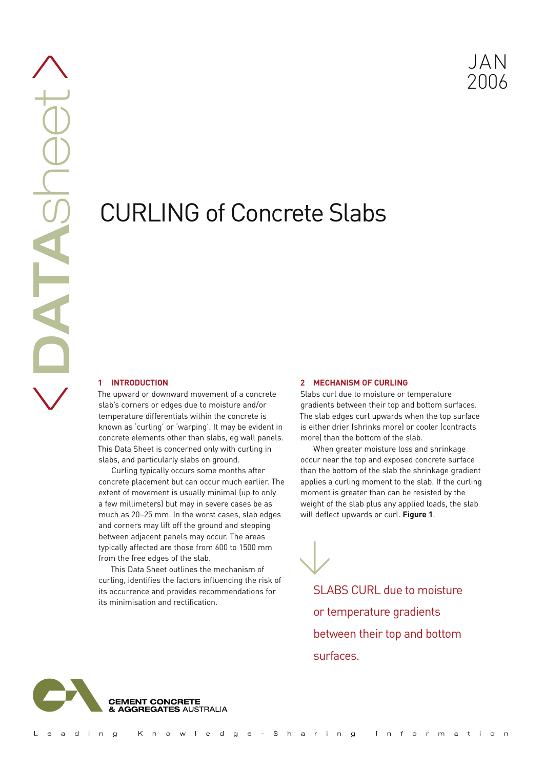jan 2006

# CURLING of Concrete Slabs

#### **1 INTRODUCTION**

The upward or downward movement of a concrete slab's corners or edges due to moisture and/or temperature differentials within the concrete is known as 'curling' or 'warping'. It may be evident in concrete elements other than slabs, eg wall panels. This Data Sheet is concerned only with curling in slabs, and particularly slabs on ground.

Curling typically occurs some months after concrete placement but can occur much earlier. The extent of movement is usually minimal (up to only a few millimeters) but may in severe cases be as much as 20–25 mm. In the worst cases, slab edges and corners may lift off the ground and stepping between adjacent panels may occur. The areas typically affected are those from 600 to 1500 mm from the free edges of the slab.

This Data Sheet outlines the mechanism of curling, identifies the factors influencing the risk of its occurrence and provides recommendations for its minimisation and rectification.

#### **2 MECHANISM OF CURLING**

 $\bigvee$ 

Slabs curl due to moisture or temperature gradients between their top and bottom surfaces. The slab edges curl upwards when the top surface is either drier (shrinks more) or cooler (contracts more) than the bottom of the slab.

When greater moisture loss and shrinkage occur near the top and exposed concrete surface than the bottom of the slab the shrinkage gradient applies a curling moment to the slab. If the curling moment is greater than can be resisted by the weight of the slab plus any applied loads, the slab will deflect upwards or curl. **Figure 1**.

SLABS CURL due to moisture or temperature gradients between their top and bottom surfaces.

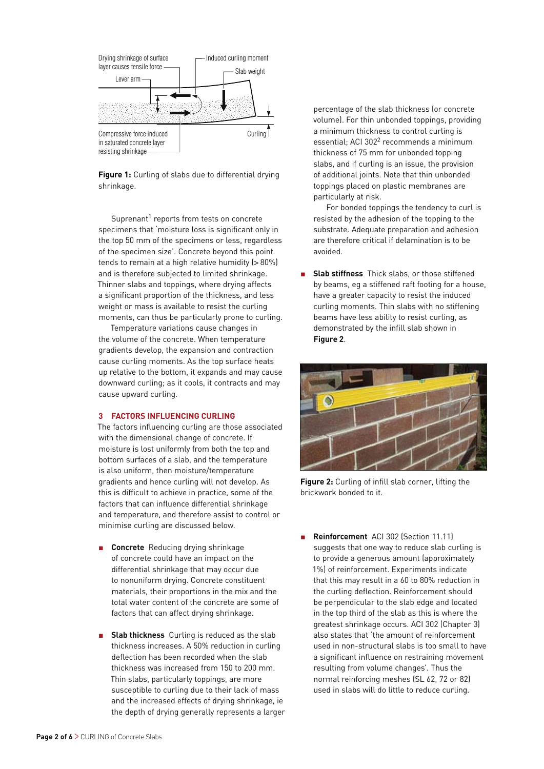

**Figure 1:** Curling of slabs due to differential drying shrinkage.

Suprenant $1$  reports from tests on concrete specimens that 'moisture loss is significant only in the top 50 mm of the specimens or less, regardless of the specimen size'. Concrete beyond this point tends to remain at a high relative humidity (> 80%) and is therefore subjected to limited shrinkage. Thinner slabs and toppings, where drying affects a significant proportion of the thickness, and less weight or mass is available to resist the curling moments, can thus be particularly prone to curling.

Temperature variations cause changes in the volume of the concrete. When temperature gradients develop, the expansion and contraction cause curling moments. As the top surface heats up relative to the bottom, it expands and may cause downward curling; as it cools, it contracts and may cause upward curling.

## **3 FACTORS INFLUENCING CURLING**

The factors influencing curling are those associated with the dimensional change of concrete. If moisture is lost uniformly from both the top and bottom surfaces of a slab, and the temperature is also uniform, then moisture/temperature gradients and hence curling will not develop. As this is difficult to achieve in practice, some of the factors that can influence differential shrinkage and temperature, and therefore assist to control or minimise curling are discussed below.

- **Concrete** Reducing drying shrinkage of concrete could have an impact on the differential shrinkage that may occur due to nonuniform drying. Concrete constituent materials, their proportions in the mix and the total water content of the concrete are some of factors that can affect drying shrinkage.
- **Slab thickness** Curling is reduced as the slab thickness increases. A 50% reduction in curling deflection has been recorded when the slab thickness was increased from 150 to 200 mm. Thin slabs, particularly toppings, are more susceptible to curling due to their lack of mass and the increased effects of drying shrinkage, ie the depth of drying generally represents a larger

percentage of the slab thickness (or concrete volume). For thin unbonded toppings, providing a minimum thickness to control curling is essential:  $ACI$  302<sup>2</sup> recommends a minimum thickness of 75 mm for unbonded topping slabs, and if curling is an issue, the provision of additional joints. Note that thin unbonded toppings placed on plastic membranes are particularly at risk.

For bonded toppings the tendency to curl is resisted by the adhesion of the topping to the substrate. Adequate preparation and adhesion are therefore critical if delamination is to be avoided.

**Slab stiffness** Thick slabs, or those stiffened by beams, eg a stiffened raft footing for a house, have a greater capacity to resist the induced curling moments. Thin slabs with no stiffening beams have less ability to resist curling, as demonstrated by the infill slab shown in **Figure 2**.



**Figure 2:** Curling of infill slab corner, lifting the brickwork bonded to it.

<sup>n</sup> **Reinforcement** ACI 302 (Section 11.11) suggests that one way to reduce slab curling is to provide a generous amount (approximately 1%) of reinforcement. Experiments indicate that this may result in a 60 to 80% reduction in the curling deflection. Reinforcement should be perpendicular to the slab edge and located in the top third of the slab as this is where the greatest shrinkage occurs. ACI 302 (Chapter 3) also states that 'the amount of reinforcement used in non-structural slabs is too small to have a significant influence on restraining movement resulting from volume changes'. Thus the normal reinforcing meshes (SL 62, 72 or 82) used in slabs will do little to reduce curling.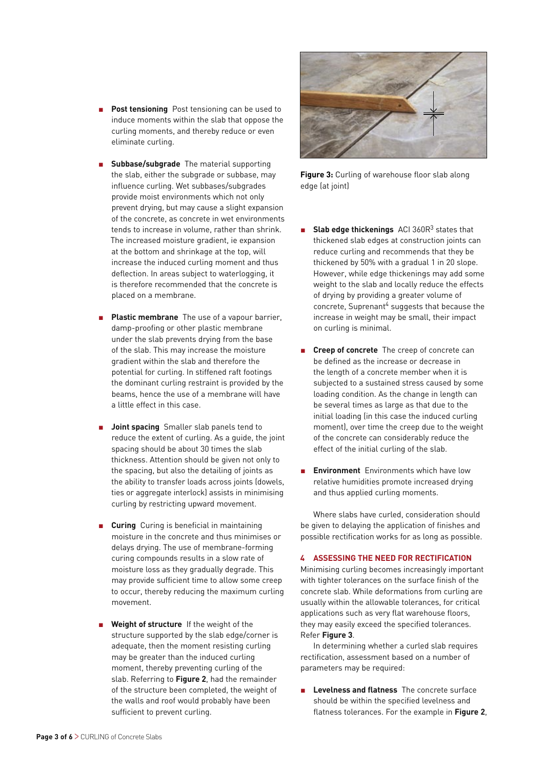- **n Post tensioning** Post tensioning can be used to induce moments within the slab that oppose the curling moments, and thereby reduce or even eliminate curling.
- **Subbase/subgrade** The material supporting the slab, either the subgrade or subbase, may influence curling. Wet subbases/subgrades provide moist environments which not only prevent drying, but may cause a slight expansion of the concrete, as concrete in wet environments tends to increase in volume, rather than shrink. The increased moisture gradient, ie expansion at the bottom and shrinkage at the top, will increase the induced curling moment and thus deflection. In areas subject to waterlogging, it is therefore recommended that the concrete is placed on a membrane.
- Plastic membrane The use of a vapour barrier, damp-proofing or other plastic membrane under the slab prevents drying from the base of the slab. This may increase the moisture gradient within the slab and therefore the potential for curling. In stiffened raft footings the dominant curling restraint is provided by the beams, hence the use of a membrane will have a little effect in this case.
- **Joint spacing** Smaller slab panels tend to reduce the extent of curling. As a guide, the joint spacing should be about 30 times the slab thickness. Attention should be given not only to the spacing, but also the detailing of joints as the ability to transfer loads across joints (dowels, ties or aggregate interlock) assists in minimising curling by restricting upward movement.
- **Curing** Curing is beneficial in maintaining moisture in the concrete and thus minimises or delays drying. The use of membrane-forming curing compounds results in a slow rate of moisture loss as they gradually degrade. This may provide sufficient time to allow some creep to occur, thereby reducing the maximum curling movement.
- **Weight of structure** If the weight of the structure supported by the slab edge/corner is adequate, then the moment resisting curling may be greater than the induced curling moment, thereby preventing curling of the slab. Referring to **Figure 2**, had the remainder of the structure been completed, the weight of the walls and roof would probably have been sufficient to prevent curling.



**Figure 3:** Curling of warehouse floor slab along edge (at joint)

- <sup>n</sup> **Slab edge thickenings** ACI 360R3 states that thickened slab edges at construction joints can reduce curling and recommends that they be thickened by 50% with a gradual 1 in 20 slope. However, while edge thickenings may add some weight to the slab and locally reduce the effects of drying by providing a greater volume of concrete, Suprenant<sup>4</sup> suggests that because the increase in weight may be small, their impact on curling is minimal.
- **Creep of concrete** The creep of concrete can be defined as the increase or decrease in the length of a concrete member when it is subjected to a sustained stress caused by some loading condition. As the change in length can be several times as large as that due to the initial loading (in this case the induced curling moment), over time the creep due to the weight of the concrete can considerably reduce the effect of the initial curling of the slab.
- **Environment** Environments which have low relative humidities promote increased drying and thus applied curling moments.

Where slabs have curled, consideration should be given to delaying the application of finishes and possible rectification works for as long as possible.

## **4 ASSESSING THE NEED FOR RECTIFICATION**

Minimising curling becomes increasingly important with tighter tolerances on the surface finish of the concrete slab. While deformations from curling are usually within the allowable tolerances, for critical applications such as very flat warehouse floors, they may easily exceed the specified tolerances. Refer **Figure 3**.

In determining whether a curled slab requires rectification, assessment based on a number of parameters may be required:

<sup>n</sup> **Levelness and flatness** The concrete surface should be within the specified levelness and flatness tolerances. For the example in **Figure 2**,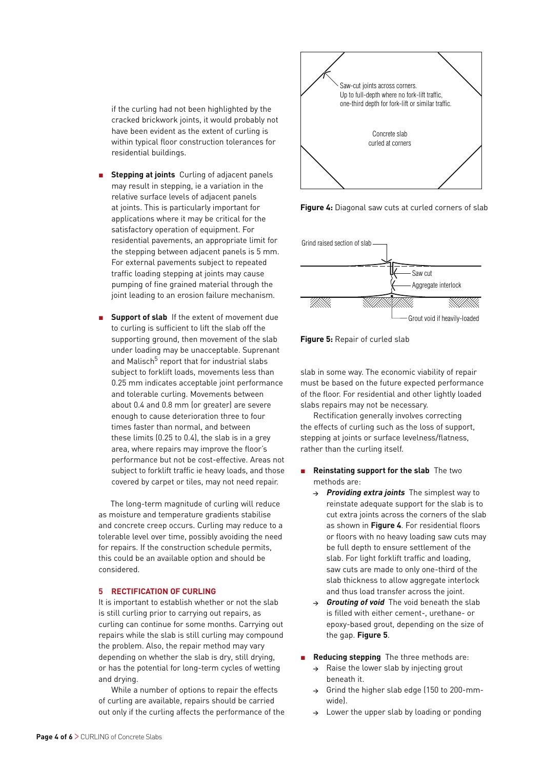if the curling had not been highlighted by the cracked brickwork joints, it would probably not have been evident as the extent of curling is within typical floor construction tolerances for residential buildings.

- **Stepping at joints** Curling of adjacent panels may result in stepping, ie a variation in the relative surface levels of adjacent panels at joints. This is particularly important for applications where it may be critical for the satisfactory operation of equipment. For residential pavements, an appropriate limit for the stepping between adjacent panels is 5 mm. For external pavements subject to repeated traffic loading stepping at joints may cause pumping of fine grained material through the joint leading to an erosion failure mechanism.
- **Support of slab** If the extent of movement due to curling is sufficient to lift the slab off the supporting ground, then movement of the slab under loading may be unacceptable. Suprenant and Malisch<sup>5</sup> report that for industrial slabs subject to forklift loads, movements less than 0.25 mm indicates acceptable joint performance and tolerable curling. Movements between about 0.4 and 0.8 mm (or greater) are severe enough to cause deterioration three to four times faster than normal, and between these limits (0.25 to 0.4), the slab is in a grey area, where repairs may improve the floor's performance but not be cost-effective. Areas not subject to forklift traffic ie heavy loads, and those covered by carpet or tiles, may not need repair.

The long-term magnitude of curling will reduce as moisture and temperature gradients stabilise and concrete creep occurs. Curling may reduce to a tolerable level over time, possibly avoiding the need for repairs. If the construction schedule permits, this could be an available option and should be considered.

# **5 RECTIFICATION OF CURLING**

It is important to establish whether or not the slab is still curling prior to carrying out repairs, as curling can continue for some months. Carrying out repairs while the slab is still curling may compound the problem. Also, the repair method may vary depending on whether the slab is dry, still drying, or has the potential for long-term cycles of wetting and drying.

While a number of options to repair the effects of curling are available, repairs should be carried out only if the curling affects the performance of the









slab in some way. The economic viability of repair must be based on the future expected performance of the floor. For residential and other lightly loaded slabs repairs may not be necessary.

Rectification generally involves correcting the effects of curling such as the loss of support, stepping at joints or surface levelness/flatness, rather than the curling itself.

- <sup>n</sup> **Reinstating support for the slab** The two methods are:
	- **<sup>&</sup>gt; Providing extra joints** The simplest way to reinstate adequate support for the slab is to cut extra joints across the corners of the slab as shown in **Figure 4**. For residential floors or floors with no heavy loading saw cuts may be full depth to ensure settlement of the slab. For light forklift traffic and loading, saw cuts are made to only one-third of the slab thickness to allow aggregate interlock and thus load transfer across the joint.
	- **<sup>&</sup>gt; Grouting of void** The void beneath the slab is filled with either cement-, urethane- or epoxy-based grout, depending on the size of the gap. **Figure 5**.
- **Reducing stepping** The three methods are:
	- **<sup>&</sup>gt;** Raise the lower slab by injecting grout beneath it.
	- **<sup>&</sup>gt;** Grind the higher slab edge (150 to 200-mmwide).
	- **<sup>&</sup>gt;** Lower the upper slab by loading or ponding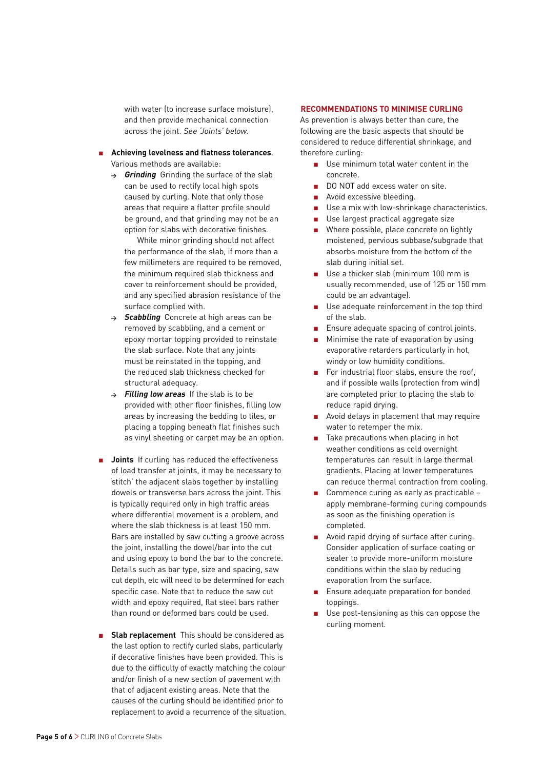with water (to increase surface moisture). and then provide mechanical connection across the joint. See 'Joints' below.

- <sup>n</sup> **Achieving levelness and flatness tolerances**. Various methods are available:
	- **<sup>&</sup>gt; Grinding** Grinding the surface of the slab can be used to rectify local high spots caused by curling. Note that only those areas that require a flatter profile should be ground, and that grinding may not be an option for slabs with decorative finishes.

While minor grinding should not affect the performance of the slab, if more than a few millimeters are required to be removed, the minimum required slab thickness and cover to reinforcement should be provided, and any specified abrasion resistance of the surface complied with.

- **<sup>&</sup>gt; Scabbling** Concrete at high areas can be removed by scabbling, and a cement or epoxy mortar topping provided to reinstate the slab surface. Note that any joints must be reinstated in the topping, and the reduced slab thickness checked for structural adequacy.
- **<sup>&</sup>gt; Filling low areas** If the slab is to be provided with other floor finishes, filling low areas by increasing the bedding to tiles, or placing a topping beneath flat finishes such as vinyl sheeting or carpet may be an option.
- **n Joints** If curling has reduced the effectiveness of load transfer at joints, it may be necessary to 'stitch' the adjacent slabs together by installing dowels or transverse bars across the joint. This is typically required only in high traffic areas where differential movement is a problem, and where the slab thickness is at least 150 mm. Bars are installed by saw cutting a groove across the joint, installing the dowel/bar into the cut and using epoxy to bond the bar to the concrete. Details such as bar type, size and spacing, saw cut depth, etc will need to be determined for each specific case. Note that to reduce the saw cut width and epoxy required, flat steel bars rather than round or deformed bars could be used.
- **Slab replacement** This should be considered as the last option to rectify curled slabs, particularly if decorative finishes have been provided. This is due to the difficulty of exactly matching the colour and/or finish of a new section of pavement with that of adjacent existing areas. Note that the causes of the curling should be identified prior to replacement to avoid a recurrence of the situation.

## **Recommendations to minimise curling**

As prevention is always better than cure, the following are the basic aspects that should be considered to reduce differential shrinkage, and therefore curling:

- **n** Use minimum total water content in the concrete.
- DO NOT add excess water on site.
- **n** Avoid excessive bleeding.
- Use a mix with low-shrinkage characteristics.
- **n** Use largest practical aggregate size
- **n** Where possible, place concrete on lightly moistened, pervious subbase/subgrade that absorbs moisture from the bottom of the slab during initial set.
- **n** Use a thicker slab (minimum 100 mm is usually recommended, use of 125 or 150 mm could be an advantage).
- $\blacksquare$  Use adequate reinforcement in the top third of the slab.
- Ensure adequate spacing of control joints.
- $\blacksquare$  Minimise the rate of evaporation by using evaporative retarders particularly in hot, windy or low humidity conditions.
- $\blacksquare$  For industrial floor slabs, ensure the roof, and if possible walls (protection from wind) are completed prior to placing the slab to reduce rapid drying.
- Avoid delays in placement that may require water to retemper the mix.
- $\blacksquare$  Take precautions when placing in hot weather conditions as cold overnight temperatures can result in large thermal gradients. Placing at lower temperatures can reduce thermal contraction from cooling.
- Commence curing as early as practicable apply membrane-forming curing compounds as soon as the finishing operation is completed.
- Avoid rapid drying of surface after curing. Consider application of surface coating or sealer to provide more-uniform moisture conditions within the slab by reducing evaporation from the surface.
- **n** Ensure adequate preparation for bonded toppings.
- Use post-tensioning as this can oppose the curling moment.